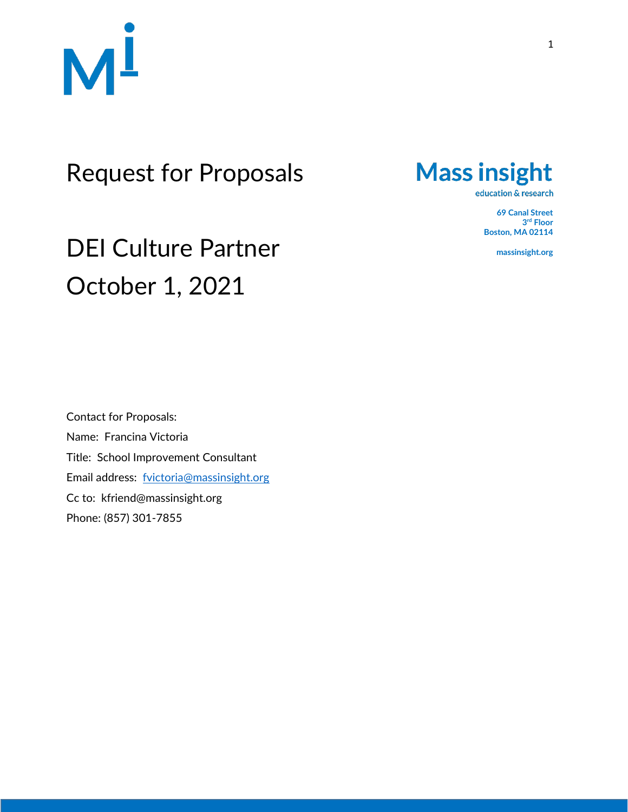

## Request for Proposals

**Mass insight** 

education & research

**69 Canal Street 3 rd Floor Boston, MA 02114**

**massinsight.org**

# DEI Culture Partner October 1, 2021

Contact for Proposals: Name: Francina Victoria Title: School Improvement Consultant Email address: [fvictoria@massinsight.org](mailto:fvictoria@massinsight.org) Cc to: kfriend@massinsight.org Phone: (857) 301-7855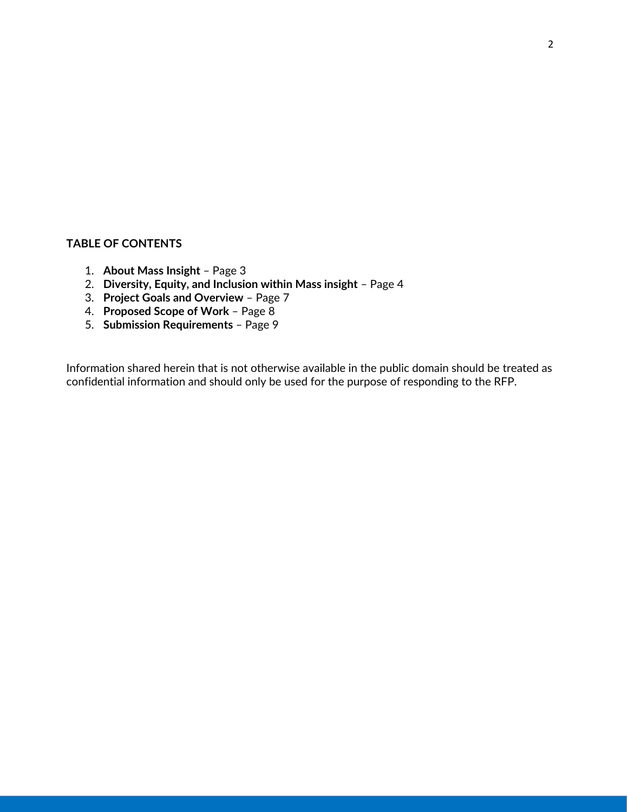#### **TABLE OF CONTENTS**

- 1. **About Mass Insight** Page 3
- 2. **Diversity, Equity, and Inclusion within Mass insight**  Page 4
- 3. **Project Goals and Overview**  Page 7
- 4. **Proposed Scope of Work** Page 8
- 5. **Submission Requirements**  Page 9

Information shared herein that is not otherwise available in the public domain should be treated as confidential information and should only be used for the purpose of responding to the RFP.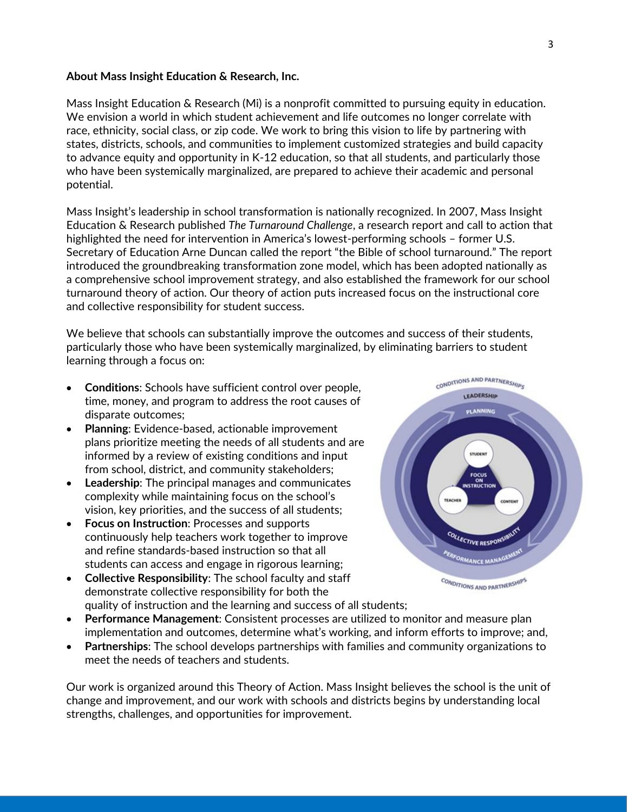#### **About Mass Insight Education & Research, Inc.**

Mass Insight Education & Research (Mi) is a nonprofit committed to pursuing equity in education. We envision a world in which student achievement and life outcomes no longer correlate with race, ethnicity, social class, or zip code. We work to bring this vision to life by partnering with states, districts, schools, and communities to implement customized strategies and build capacity to advance equity and opportunity in K-12 education, so that all students, and particularly those who have been systemically marginalized, are prepared to achieve their academic and personal potential.

Mass Insight's leadership in school transformation is nationally recognized. In 2007, Mass Insight Education & Research published *The Turnaround Challenge*, a research report and call to action that highlighted the need for intervention in America's lowest-performing schools – former U.S. Secretary of Education Arne Duncan called the report "the Bible of school turnaround." The report introduced the groundbreaking transformation zone model, which has been adopted nationally as a comprehensive school improvement strategy, and also established the framework for our school turnaround theory of action. Our theory of action puts increased focus on the instructional core and collective responsibility for student success.

We believe that schools can substantially improve the outcomes and success of their students, particularly those who have been systemically marginalized, by eliminating barriers to student learning through a focus on:

- **Conditions**: Schools have sufficient control over people, time, money, and program to address the root causes of disparate outcomes;
- **Planning**: Evidence-based, actionable improvement plans prioritize meeting the needs of all students and are informed by a review of existing conditions and input from school, district, and community stakeholders;
- **Leadership:** The principal manages and communicates complexity while maintaining focus on the school's vision, key priorities, and the success of all students;
- **Focus on Instruction**: Processes and supports continuously help teachers work together to improve and refine standards-based instruction so that all students can access and engage in rigorous learning;
- **Collective Responsibility**: The school faculty and staff demonstrate collective responsibility for both the quality of instruction and the learning and success of all students;
- **Performance Management**: Consistent processes are utilized to monitor and measure plan implementation and outcomes, determine what's working, and inform efforts to improve; and,
- **Partnerships**: The school develops partnerships with families and community organizations to meet the needs of teachers and students.

Our work is organized around this Theory of Action. Mass Insight believes the school is the unit of change and improvement, and our work with schools and districts begins by understanding local strengths, challenges, and opportunities for improvement.

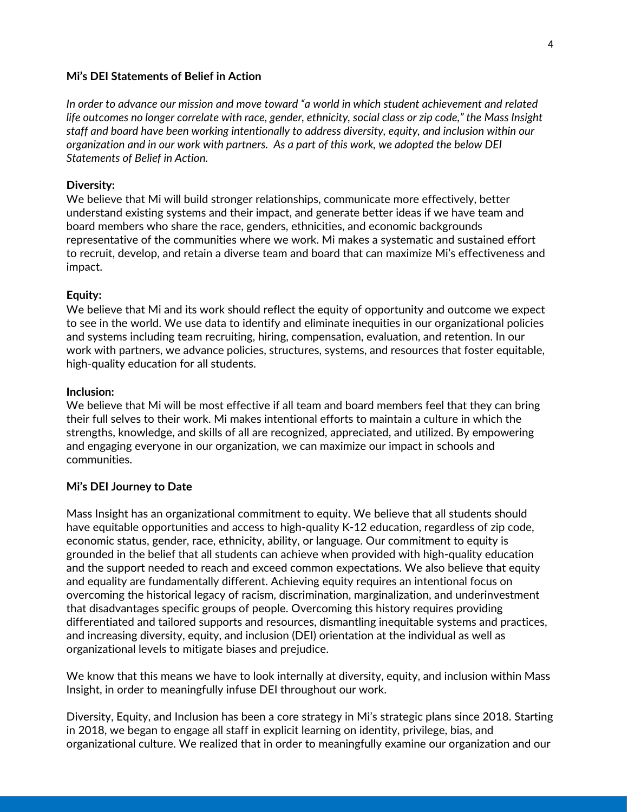#### **Mi's DEI Statements of Belief in Action**

*In order to advance our mission and move toward "a world in which student achievement and related life outcomes no longer correlate with race, gender, ethnicity, social class or zip code," the Mass Insight staff and board have been working intentionally to address diversity, equity, and inclusion within our organization and in our work with partners. As a part of this work, we adopted the below DEI Statements of Belief in Action.*

#### **Diversity:**

We believe that Mi will build stronger relationships, communicate more effectively, better understand existing systems and their impact, and generate better ideas if we have team and board members who share the race, genders, ethnicities, and economic backgrounds representative of the communities where we work. Mi makes a systematic and sustained effort to recruit, develop, and retain a diverse team and board that can maximize Mi's effectiveness and impact.

#### **Equity:**

We believe that Mi and its work should reflect the equity of opportunity and outcome we expect to see in the world. We use data to identify and eliminate inequities in our organizational policies and systems including team recruiting, hiring, compensation, evaluation, and retention. In our work with partners, we advance policies, structures, systems, and resources that foster equitable, high-quality education for all students.

#### **Inclusion:**

We believe that Mi will be most effective if all team and board members feel that they can bring their full selves to their work. Mi makes intentional efforts to maintain a culture in which the strengths, knowledge, and skills of all are recognized, appreciated, and utilized. By empowering and engaging everyone in our organization, we can maximize our impact in schools and communities.

#### **Mi's DEI Journey to Date**

Mass Insight has an organizational commitment to equity. We believe that all students should have equitable opportunities and access to high-quality K-12 education, regardless of zip code, economic status, gender, race, ethnicity, ability, or language. Our commitment to equity is grounded in the belief that all students can achieve when provided with high-quality education and the support needed to reach and exceed common expectations. We also believe that equity and equality are fundamentally different. Achieving equity requires an intentional focus on overcoming the historical legacy of racism, discrimination, marginalization, and underinvestment that disadvantages specific groups of people. Overcoming this history requires providing differentiated and tailored supports and resources, dismantling inequitable systems and practices, and increasing diversity, equity, and inclusion (DEI) orientation at the individual as well as organizational levels to mitigate biases and prejudice.

We know that this means we have to look internally at diversity, equity, and inclusion within Mass Insight, in order to meaningfully infuse DEI throughout our work.

Diversity, Equity, and Inclusion has been a core strategy in Mi's strategic plans since 2018. Starting in 2018, we began to engage all staff in explicit learning on identity, privilege, bias, and organizational culture. We realized that in order to meaningfully examine our organization and our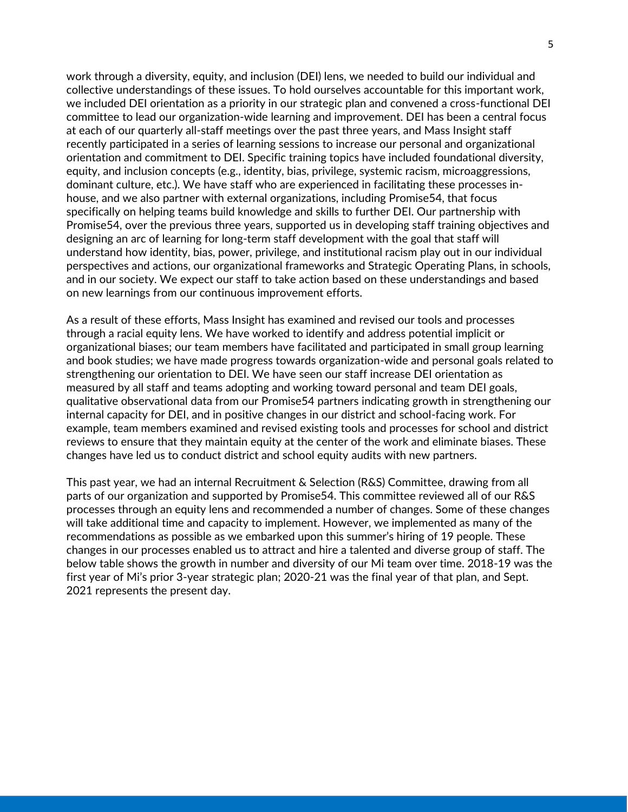work through a diversity, equity, and inclusion (DEI) lens, we needed to build our individual and collective understandings of these issues. To hold ourselves accountable for this important work, we included DEI orientation as a priority in our strategic plan and convened a cross-functional DEI committee to lead our organization-wide learning and improvement. DEI has been a central focus at each of our quarterly all-staff meetings over the past three years, and Mass Insight staff recently participated in a series of learning sessions to increase our personal and organizational orientation and commitment to DEI. Specific training topics have included foundational diversity, equity, and inclusion concepts (e.g., identity, bias, privilege, systemic racism, microaggressions, dominant culture, etc.). We have staff who are experienced in facilitating these processes inhouse, and we also partner with external organizations, including Promise54, that focus specifically on helping teams build knowledge and skills to further DEI. Our partnership with Promise54, over the previous three years, supported us in developing staff training objectives and designing an arc of learning for long-term staff development with the goal that staff will understand how identity, bias, power, privilege, and institutional racism play out in our individual perspectives and actions, our organizational frameworks and Strategic Operating Plans, in schools, and in our society. We expect our staff to take action based on these understandings and based on new learnings from our continuous improvement efforts.

As a result of these efforts, Mass Insight has examined and revised our tools and processes through a racial equity lens. We have worked to identify and address potential implicit or organizational biases; our team members have facilitated and participated in small group learning and book studies; we have made progress towards organization-wide and personal goals related to strengthening our orientation to DEI. We have seen our staff increase DEI orientation as measured by all staff and teams adopting and working toward personal and team DEI goals, qualitative observational data from our Promise54 partners indicating growth in strengthening our internal capacity for DEI, and in positive changes in our district and school-facing work. For example, team members examined and revised existing tools and processes for school and district reviews to ensure that they maintain equity at the center of the work and eliminate biases. These changes have led us to conduct district and school equity audits with new partners.

This past year, we had an internal Recruitment & Selection (R&S) Committee, drawing from all parts of our organization and supported by Promise54. This committee reviewed all of our R&S processes through an equity lens and recommended a number of changes. Some of these changes will take additional time and capacity to implement. However, we implemented as many of the recommendations as possible as we embarked upon this summer's hiring of 19 people. These changes in our processes enabled us to attract and hire a talented and diverse group of staff. The below table shows the growth in number and diversity of our Mi team over time. 2018-19 was the first year of Mi's prior 3-year strategic plan; 2020-21 was the final year of that plan, and Sept. 2021 represents the present day.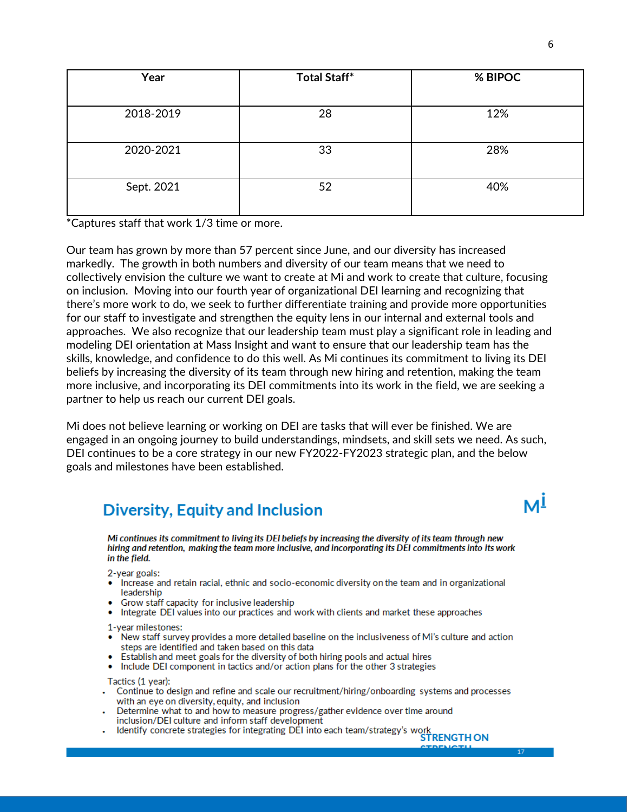| Year       | <b>Total Staff*</b> | % BIPOC |
|------------|---------------------|---------|
|            |                     |         |
| 2018-2019  | 28                  | 12%     |
| 2020-2021  | 33                  | 28%     |
| Sept. 2021 | 52                  | 40%     |

\*Captures staff that work 1/3 time or more.

Our team has grown by more than 57 percent since June, and our diversity has increased markedly. The growth in both numbers and diversity of our team means that we need to collectively envision the culture we want to create at Mi and work to create that culture, focusing on inclusion. Moving into our fourth year of organizational DEI learning and recognizing that there's more work to do, we seek to further differentiate training and provide more opportunities for our staff to investigate and strengthen the equity lens in our internal and external tools and approaches. We also recognize that our leadership team must play a significant role in leading and modeling DEI orientation at Mass Insight and want to ensure that our leadership team has the skills, knowledge, and confidence to do this well. As Mi continues its commitment to living its DEI beliefs by increasing the diversity of its team through new hiring and retention, making the team more inclusive, and incorporating its DEI commitments into its work in the field, we are seeking a partner to help us reach our current DEI goals.

Mi does not believe learning or working on DEI are tasks that will ever be finished. We are engaged in an ongoing journey to build understandings, mindsets, and skill sets we need. As such, DEI continues to be a core strategy in our new FY2022-FY2023 strategic plan, and the below goals and milestones have been established.

### **Diversity, Equity and Inclusion**

Mi continues its commitment to living its DEI beliefs by increasing the diversity of its team through new hiring and retention, making the team more inclusive, and incorporating its DEI commitments into its work in the field.

- 2-year goals:
- Increase and retain racial, ethnic and socio-economic diversity on the team and in organizational leadership
- Grow staff capacity for inclusive leadership
- Integrate DEI values into our practices and work with clients and market these approaches

1-year milestones:

- New staff survey provides a more detailed baseline on the inclusiveness of Mi's culture and action steps are identified and taken based on this data
- Establish and meet goals for the diversity of both hiring pools and actual hires
- . Include DEI component in tactics and/or action plans for the other 3 strategies

Tactics (1 year):

- Continue to design and refine and scale our recruitment/hiring/onboarding systems and processes with an eve on diversity, equity, and inclusion
- Determine what to and how to measure progress/gather evidence over time around inclusion/DEI culture and inform staff development
- inclusion/DEI culture and inform staff development<br>Identify concrete strategies for integrating DEI into each team/strategy's work

мl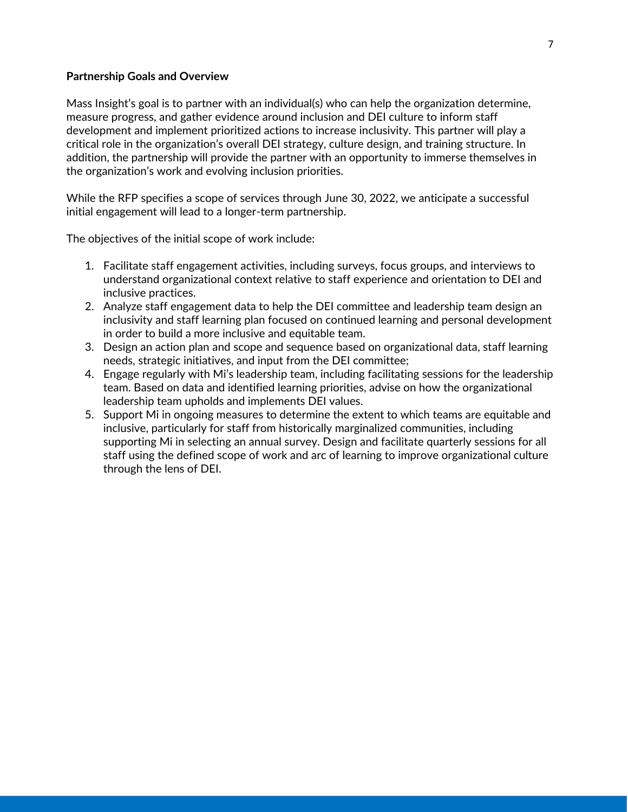#### **Partnership Goals and Overview**

Mass Insight's goal is to partner with an individual(s) who can help the organization determine, measure progress, and gather evidence around inclusion and DEI culture to inform staff development and implement prioritized actions to increase inclusivity. This partner will play a critical role in the organization's overall DEI strategy, culture design, and training structure. In addition, the partnership will provide the partner with an opportunity to immerse themselves in the organization's work and evolving inclusion priorities.

While the RFP specifies a scope of services through June 30, 2022, we anticipate a successful initial engagement will lead to a longer-term partnership.

The objectives of the initial scope of work include:

- 1. Facilitate staff engagement activities, including surveys, focus groups, and interviews to understand organizational context relative to staff experience and orientation to DEI and inclusive practices.
- 2. Analyze staff engagement data to help the DEI committee and leadership team design an inclusivity and staff learning plan focused on continued learning and personal development in order to build a more inclusive and equitable team.
- 3. Design an action plan and scope and sequence based on organizational data, staff learning needs, strategic initiatives, and input from the DEI committee;
- 4. Engage regularly with Mi's leadership team, including facilitating sessions for the leadership team. Based on data and identified learning priorities, advise on how the organizational leadership team upholds and implements DEI values.
- 5. Support Mi in ongoing measures to determine the extent to which teams are equitable and inclusive, particularly for staff from historically marginalized communities, including supporting Mi in selecting an annual survey. Design and facilitate quarterly sessions for all staff using the defined scope of work and arc of learning to improve organizational culture through the lens of DEI.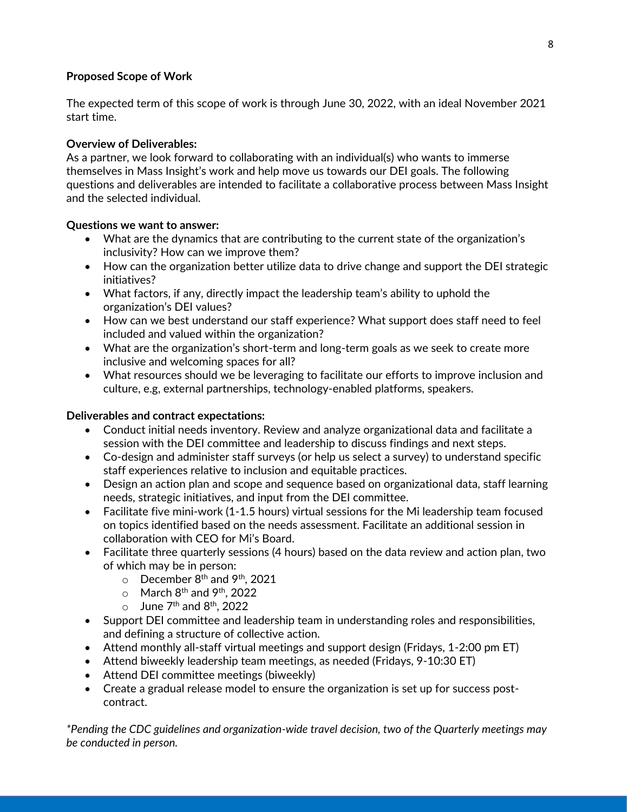#### **Proposed Scope of Work**

The expected term of this scope of work is through June 30, 2022, with an ideal November 2021 start time.

#### **Overview of Deliverables:**

As a partner, we look forward to collaborating with an individual(s) who wants to immerse themselves in Mass Insight's work and help move us towards our DEI goals. The following questions and deliverables are intended to facilitate a collaborative process between Mass Insight and the selected individual.

#### **Questions we want to answer:**

- What are the dynamics that are contributing to the current state of the organization's inclusivity? How can we improve them?
- How can the organization better utilize data to drive change and support the DEI strategic initiatives?
- What factors, if any, directly impact the leadership team's ability to uphold the organization's DEI values?
- How can we best understand our staff experience? What support does staff need to feel included and valued within the organization?
- What are the organization's short-term and long-term goals as we seek to create more inclusive and welcoming spaces for all?
- What resources should we be leveraging to facilitate our efforts to improve inclusion and culture, e.g, external partnerships, technology-enabled platforms, speakers.

#### **Deliverables and contract expectations:**

- Conduct initial needs inventory. Review and analyze organizational data and facilitate a session with the DEI committee and leadership to discuss findings and next steps.
- Co-design and administer staff surveys (or help us select a survey) to understand specific staff experiences relative to inclusion and equitable practices.
- Design an action plan and scope and sequence based on organizational data, staff learning needs, strategic initiatives, and input from the DEI committee.
- Facilitate five mini-work (1-1.5 hours) virtual sessions for the Mi leadership team focused on topics identified based on the needs assessment. Facilitate an additional session in collaboration with CEO for Mi's Board.
- Facilitate three quarterly sessions (4 hours) based on the data review and action plan, two of which may be in person:
	- $\circ$  December 8<sup>th</sup> and 9<sup>th</sup>, 2021
	- $\circ$  March 8<sup>th</sup> and 9<sup>th</sup>, 2022
	- $\circ$  June 7<sup>th</sup> and 8<sup>th</sup>, 2022
- Support DEI committee and leadership team in understanding roles and responsibilities, and defining a structure of collective action.
- Attend monthly all-staff virtual meetings and support design (Fridays, 1-2:00 pm ET)
- Attend biweekly leadership team meetings, as needed (Fridays, 9-10:30 ET)
- Attend DEI committee meetings (biweekly)
- Create a gradual release model to ensure the organization is set up for success postcontract.

*\*Pending the CDC guidelines and organization-wide travel decision, two of the Quarterly meetings may be conducted in person.*